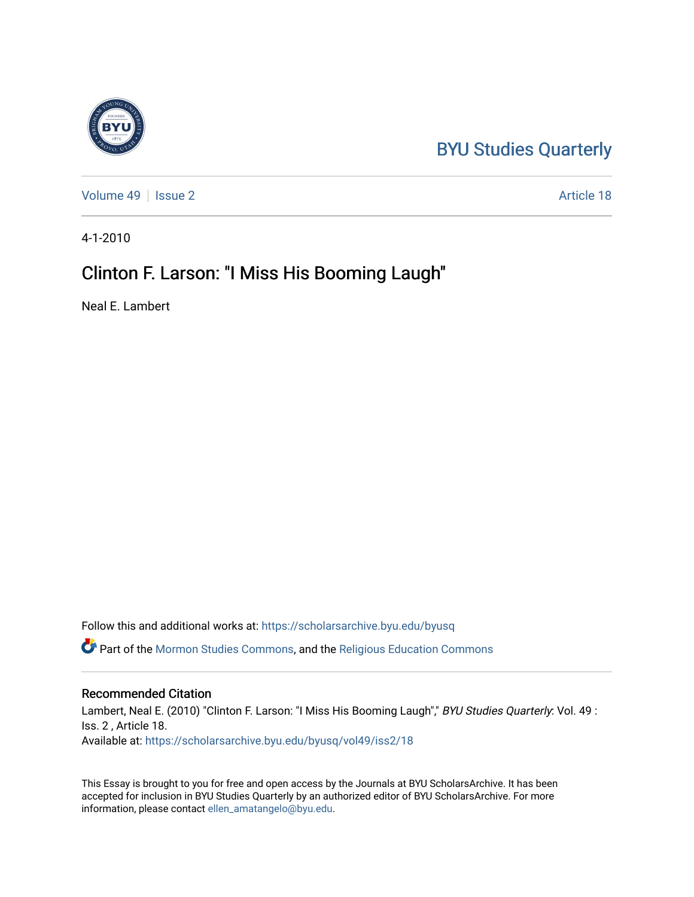# [BYU Studies Quarterly](https://scholarsarchive.byu.edu/byusq)

[Volume 49](https://scholarsarchive.byu.edu/byusq/vol49) | [Issue 2](https://scholarsarchive.byu.edu/byusq/vol49/iss2) Article 18

4-1-2010

## Clinton F. Larson: "I Miss His Booming Laugh"

Neal E. Lambert

Follow this and additional works at: [https://scholarsarchive.byu.edu/byusq](https://scholarsarchive.byu.edu/byusq?utm_source=scholarsarchive.byu.edu%2Fbyusq%2Fvol49%2Fiss2%2F18&utm_medium=PDF&utm_campaign=PDFCoverPages) 

Part of the [Mormon Studies Commons](http://network.bepress.com/hgg/discipline/1360?utm_source=scholarsarchive.byu.edu%2Fbyusq%2Fvol49%2Fiss2%2F18&utm_medium=PDF&utm_campaign=PDFCoverPages), and the [Religious Education Commons](http://network.bepress.com/hgg/discipline/1414?utm_source=scholarsarchive.byu.edu%2Fbyusq%2Fvol49%2Fiss2%2F18&utm_medium=PDF&utm_campaign=PDFCoverPages) 

### Recommended Citation

Lambert, Neal E. (2010) "Clinton F. Larson: "I Miss His Booming Laugh"," BYU Studies Quarterly: Vol. 49 : Iss. 2 , Article 18. Available at: [https://scholarsarchive.byu.edu/byusq/vol49/iss2/18](https://scholarsarchive.byu.edu/byusq/vol49/iss2/18?utm_source=scholarsarchive.byu.edu%2Fbyusq%2Fvol49%2Fiss2%2F18&utm_medium=PDF&utm_campaign=PDFCoverPages) 

This Essay is brought to you for free and open access by the Journals at BYU ScholarsArchive. It has been accepted for inclusion in BYU Studies Quarterly by an authorized editor of BYU ScholarsArchive. For more information, please contact [ellen\\_amatangelo@byu.edu.](mailto:ellen_amatangelo@byu.edu)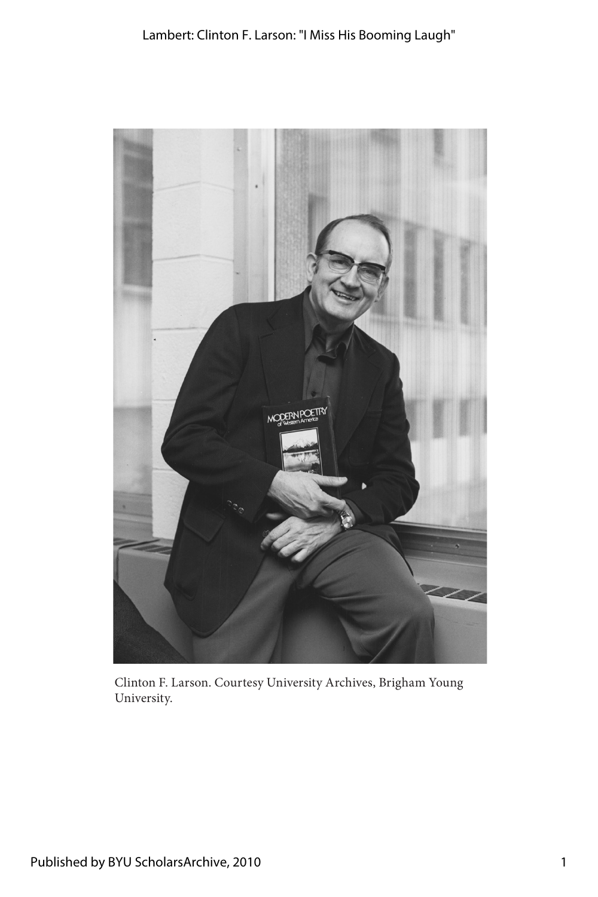Lambert: Clinton F. Larson: "I Miss His Booming Laugh"



Clinton F. Larson. Courtesy University Archives, Brigham Young University.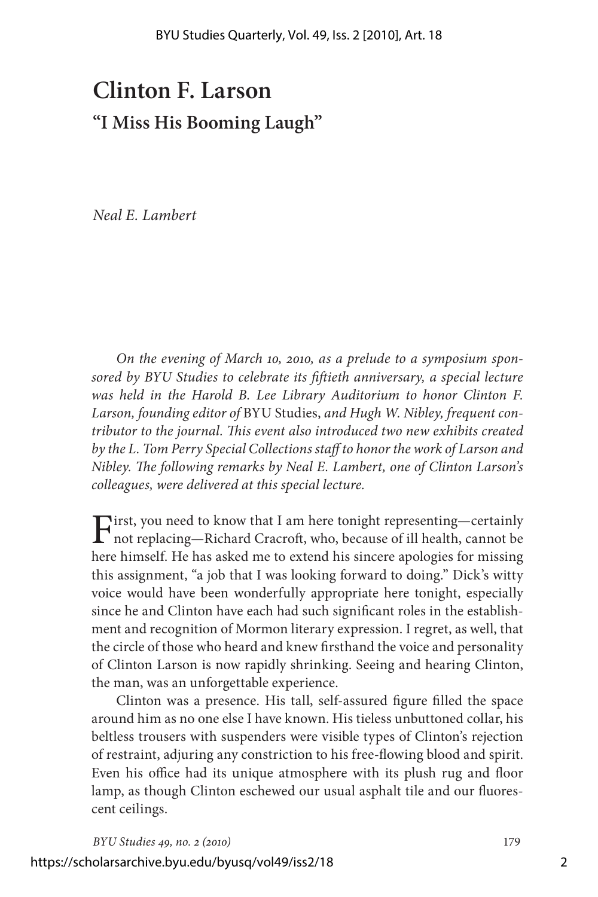# **Clinton F. Larson "I Miss His Booming Laugh"**

*Neal E. Lambert*

*On the evening of March 10, 2010, as a prelude to a symposium sponsored by BYU Studies to celebrate its fiftieth anniversary, a special lecture was held in the Harold B. Lee Library Auditorium to honor Clinton F. Larson, founding editor of* BYU Studies, *and Hugh W. Nibley, frequent contributor to the journal. This event also introduced two new exhibits created by the L. Tom Perry Special Collections staff to honor the work of Larson and Nibley. The following remarks by Neal E. Lambert, one of Clinton Larson's colleagues, were delivered at this special lecture.*

First, you need to know that I am here tonight representing—certainly not replacing—Richard Cracroft, who, because of ill health, cannot be here himself. He has asked me to extend his sincere apologies for missing this assignment, "a job that I was looking forward to doing." Dick's witty voice would have been wonderfully appropriate here tonight, especially since he and Clinton have each had such significant roles in the establishment and recognition of Mormon literary expression. I regret, as well, that the circle of those who heard and knew firsthand the voice and personality of Clinton Larson is now rapidly shrinking. Seeing and hearing Clinton, the man, was an unforgettable experience.

Clinton was a presence. His tall, self-assured figure filled the space around him as no one else I have known. His tieless unbuttoned collar, his beltless trousers with suspenders were visible types of Clinton's rejection of restraint, adjuring any constriction to his free-flowing blood and spirit. Even his office had its unique atmosphere with its plush rug and floor lamp, as though Clinton eschewed our usual asphalt tile and our fluorescent ceilings.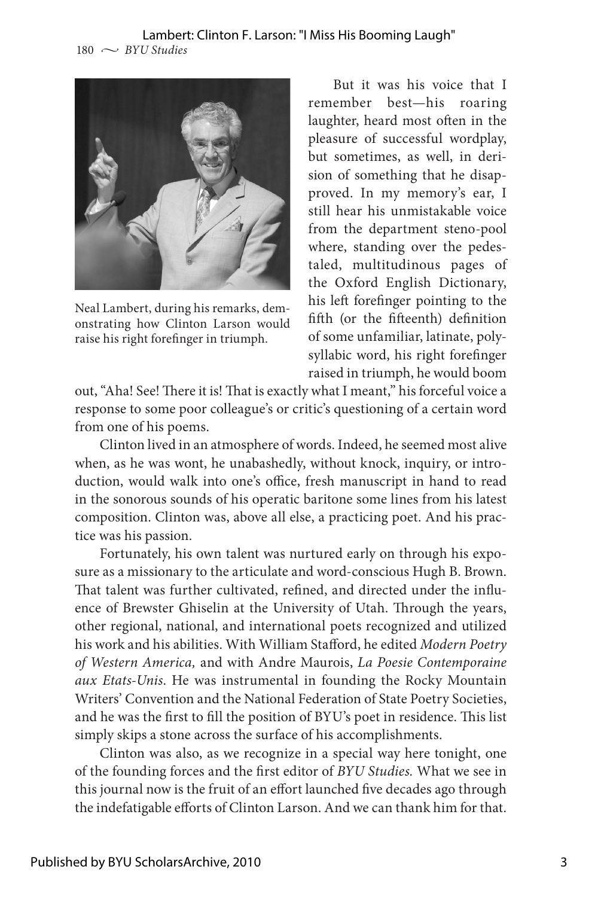

Neal Lambert, during his remarks, demonstrating how Clinton Larson would raise his right forefinger in triumph.

But it was his voice that I remember best—his roaring laughter, heard most often in the pleasure of successful wordplay, but sometimes, as well, in derision of something that he disapproved. In my memory's ear, I still hear his unmistakable voice from the department steno-pool where, standing over the pedestaled, multitudinous pages of the Oxford English Dictionary, his left forefinger pointing to the fifth (or the fifteenth) definition of some unfamiliar, latinate, polysyllabic word, his right forefinger raised in triumph, he would boom

out, "Aha! See! There it is! That is exactly what I meant," his forceful voice a response to some poor colleague's or critic's questioning of a certain word from one of his poems.

Clinton lived in an atmosphere of words. Indeed, he seemed most alive when, as he was wont, he unabashedly, without knock, inquiry, or introduction, would walk into one's office, fresh manuscript in hand to read in the sonorous sounds of his operatic baritone some lines from his latest composition. Clinton was, above all else, a practicing poet. And his practice was his passion.

Fortunately, his own talent was nurtured early on through his exposure as a missionary to the articulate and word-conscious Hugh B. Brown. That talent was further cultivated, refined, and directed under the influence of Brewster Ghiselin at the University of Utah. Through the years, other regional, national, and international poets recognized and utilized his work and his abilities. With William Stafford, he edited *Modern Poetry of Western America,* and with Andre Maurois, *La Poesie Contemporaine aux Etats-Unis*. He was instrumental in founding the Rocky Mountain Writers' Convention and the National Federation of State Poetry Societies, and he was the first to fill the position of BYU's poet in residence. This list simply skips a stone across the surface of his accomplishments.

Clinton was also, as we recognize in a special way here tonight, one of the founding forces and the first editor of *BYU Studies.* What we see in this journal now is the fruit of an effort launched five decades ago through the indefatigable efforts of Clinton Larson. And we can thank him for that.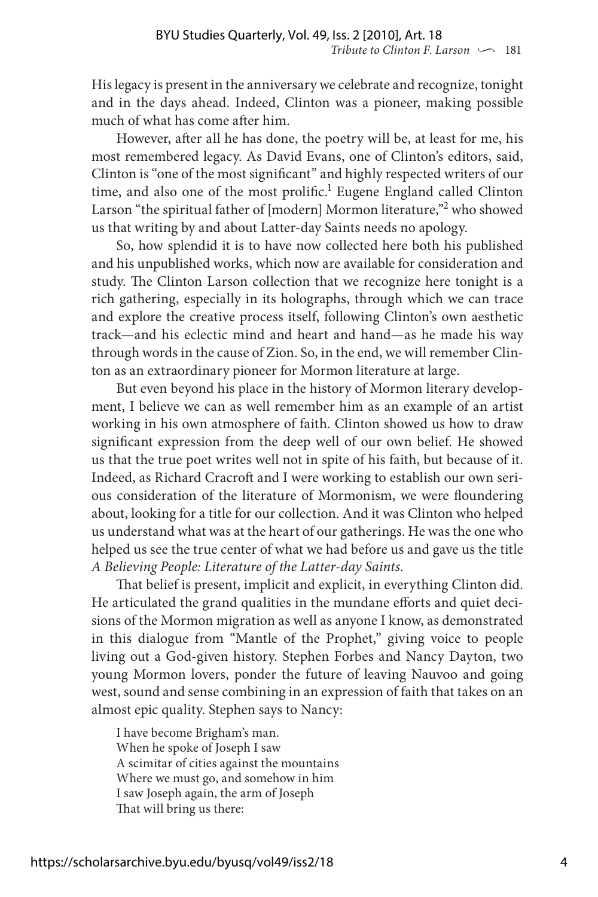His legacy is present in the anniversary we celebrate and recognize, tonight and in the days ahead. Indeed, Clinton was a pioneer, making possible much of what has come after him.

However, after all he has done, the poetry will be, at least for me, his most remembered legacy. As David Evans, one of Clinton's editors, said, Clinton is "one of the most significant" and highly respected writers of our time, and also one of the most prolific.<sup>1</sup> Eugene England called Clinton Larson "the spiritual father of [modern] Mormon literature,"<sup>2</sup> who showed us that writing by and about Latter-day Saints needs no apology.

So, how splendid it is to have now collected here both his published and his unpublished works, which now are available for consideration and study. The Clinton Larson collection that we recognize here tonight is a rich gathering, especially in its holographs, through which we can trace and explore the creative process itself, following Clinton's own aesthetic track—and his eclectic mind and heart and hand—as he made his way through words in the cause of Zion. So, in the end, we will remember Clinton as an extraordinary pioneer for Mormon literature at large.

But even beyond his place in the history of Mormon literary development, I believe we can as well remember him as an example of an artist working in his own atmosphere of faith. Clinton showed us how to draw significant expression from the deep well of our own belief. He showed us that the true poet writes well not in spite of his faith, but because of it. Indeed, as Richard Cracroft and I were working to establish our own serious consideration of the literature of Mormonism, we were floundering about, looking for a title for our collection. And it was Clinton who helped us understand what was at the heart of our gatherings. He was the one who helped us see the true center of what we had before us and gave us the title *A Believing People: Literature of the Latter-day Saints*.

That belief is present, implicit and explicit, in everything Clinton did. He articulated the grand qualities in the mundane efforts and quiet decisions of the Mormon migration as well as anyone I know, as demonstrated in this dialogue from "Mantle of the Prophet," giving voice to people living out a God-given history. Stephen Forbes and Nancy Dayton, two young Mormon lovers, ponder the future of leaving Nauvoo and going west, sound and sense combining in an expression of faith that takes on an almost epic quality. Stephen says to Nancy:

I have become Brigham's man. When he spoke of Joseph I saw A scimitar of cities against the mountains Where we must go, and somehow in him I saw Joseph again, the arm of Joseph That will bring us there: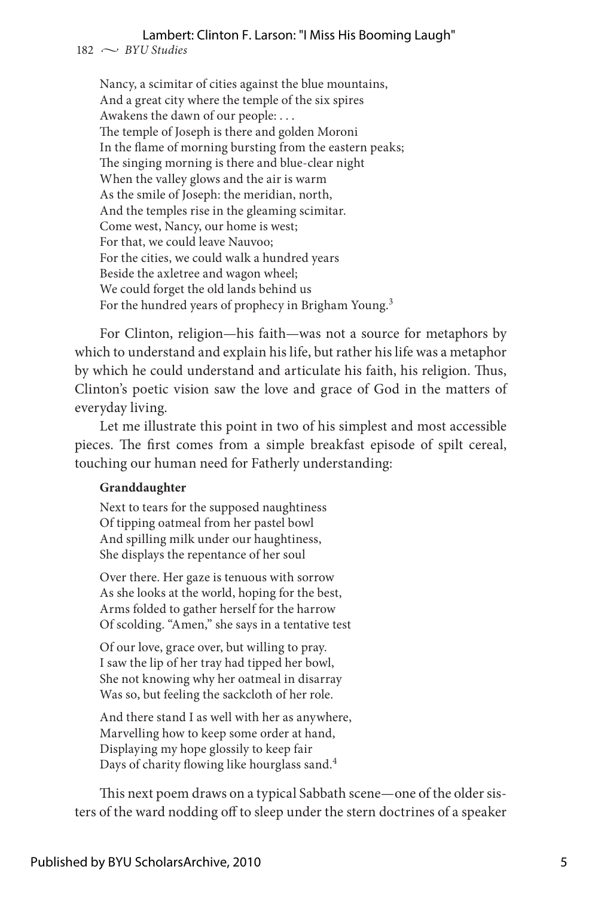#### Lambert: Clinton F. Larson: "I Miss His Booming Laugh"

 $182 \sim$  *BYU Studies* 

Nancy, a scimitar of cities against the blue mountains, And a great city where the temple of the six spires Awakens the dawn of our people: . . . The temple of Joseph is there and golden Moroni In the flame of morning bursting from the eastern peaks; The singing morning is there and blue-clear night When the valley glows and the air is warm As the smile of Joseph: the meridian, north, And the temples rise in the gleaming scimitar. Come west, Nancy, our home is west; For that, we could leave Nauvoo; For the cities, we could walk a hundred years Beside the axletree and wagon wheel; We could forget the old lands behind us For the hundred years of prophecy in Brigham Young.<sup>3</sup>

For Clinton, religion—his faith—was not a source for metaphors by which to understand and explain his life, but rather his life was a metaphor by which he could understand and articulate his faith, his religion. Thus, Clinton's poetic vision saw the love and grace of God in the matters of everyday living.

Let me illustrate this point in two of his simplest and most accessible pieces. The first comes from a simple breakfast episode of spilt cereal, touching our human need for Fatherly understanding:

#### **Granddaughter**

Next to tears for the supposed naughtiness Of tipping oatmeal from her pastel bowl And spilling milk under our haughtiness, She displays the repentance of her soul

Over there. Her gaze is tenuous with sorrow As she looks at the world, hoping for the best, Arms folded to gather herself for the harrow Of scolding. "Amen," she says in a tentative test

Of our love, grace over, but willing to pray. I saw the lip of her tray had tipped her bowl, She not knowing why her oatmeal in disarray Was so, but feeling the sackcloth of her role.

And there stand I as well with her as anywhere, Marvelling how to keep some order at hand, Displaying my hope glossily to keep fair Days of charity flowing like hourglass sand.4

This next poem draws on a typical Sabbath scene—one of the older sisters of the ward nodding off to sleep under the stern doctrines of a speaker